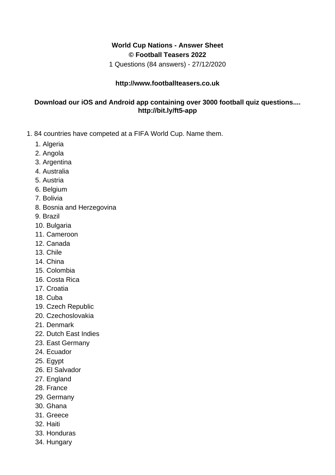## **World Cup Nations - Answer Sheet © Football Teasers 2022**

1 Questions (84 answers) - 27/12/2020

## **http://www.footballteasers.co.uk**

## **Download our iOS and Android app containing over 3000 football quiz questions.... http://bit.ly/ft5-app**

- 1. 84 countries have competed at a FIFA World Cup. Name them.
	- 1. Algeria
	- 2. Angola
	- 3. Argentina
	- 4. Australia
	- 5. Austria
	- 6. Belgium
	- 7. Bolivia
	- 8. Bosnia and Herzegovina
	- 9. Brazil
	- 10. Bulgaria
	- 11. Cameroon
	- 12. Canada
	- 13. Chile
	- 14. China
	- 15. Colombia
	- 16. Costa Rica
	- 17. Croatia
	- 18. Cuba
	- 19. Czech Republic
	- 20. Czechoslovakia
	- 21. Denmark
	- 22. Dutch East Indies
	- 23. East Germany
	- 24. Ecuador
	- 25. Egypt
	- 26. El Salvador
	- 27. England
	- 28. France
	- 29. Germany
	- 30. Ghana
	- 31. Greece
	- 32. Haiti
	- 33. Honduras
	- 34. Hungary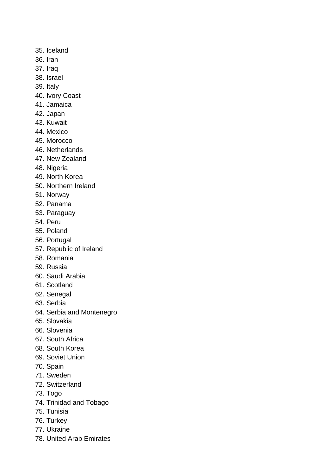- 35. Iceland
- 36. Iran
- 37. Iraq
- 38. Israel
- 39. Italy
- 40. Ivory Coast
- 41. Jamaica
- 42. Japan
- 43. Kuwait
- 44. Mexico
- 45. Morocco
- 46. Netherlands
- 47. New Zealand
- 48. Nigeria
- 49. North Korea
- 50. Northern Ireland
- 51. Norway
- 52. Panama
- 53. Paraguay
- 54. Peru
- 55. Poland
- 56. Portugal
- 57. Republic of Ireland
- 58. Romania
- 59. Russia
- 60. Saudi Arabia
- 61. Scotland
- 62. Senegal
- 63. Serbia
- 64. Serbia and Montenegro
- 65. Slovakia
- 66. Slovenia
- 67. South Africa
- 68. South Korea
- 69. Soviet Union
- 70. Spain
- 71. Sweden
- 72. Switzerland
- 73. Togo
- 74. Trinidad and Tobago
- 75. Tunisia
- 76. Turkey
- 77. Ukraine
- 78. United Arab Emirates